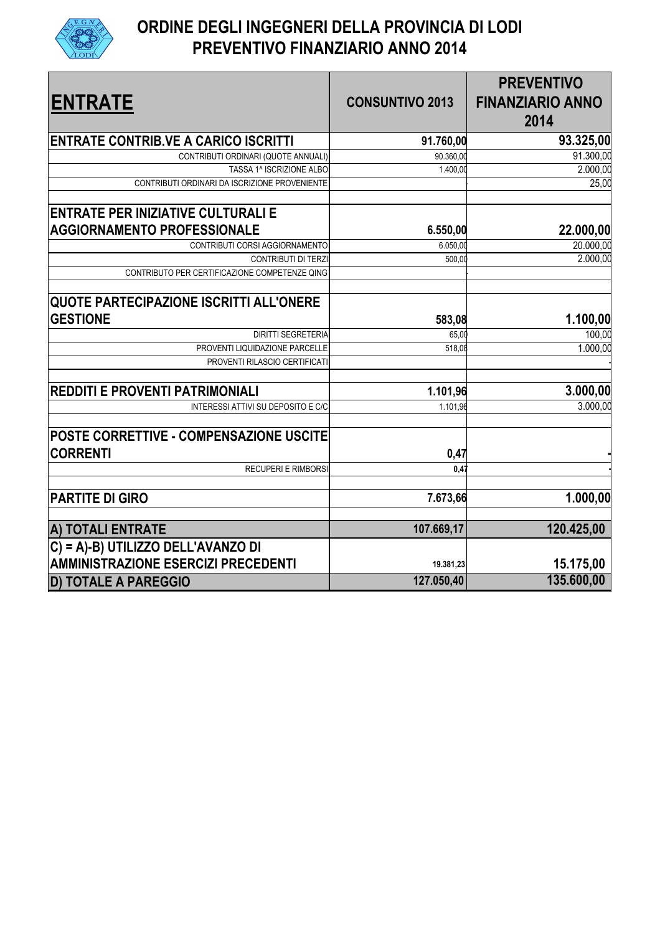

## **ORDINE DEGLI INGEGNERI DELLA PROVINCIA DI LODI PREVENTIVO FINANZIARIO ANNO 2014**

| <b>ENTRATE</b>                                                                  | <b>CONSUNTIVO 2013</b> | <b>PREVENTIVO</b><br><b>FINANZIARIO ANNO</b><br>2014 |
|---------------------------------------------------------------------------------|------------------------|------------------------------------------------------|
| ENTRATE CONTRIB.VE A CARICO ISCRITTI                                            | 91.760,00              | 93.325,00                                            |
| CONTRIBUTI ORDINARI (QUOTE ANNUALI)                                             | 90.360,00              | 91.300,00                                            |
| TASSA 1^ ISCRIZIONE ALBO                                                        | 1.400,00               | 2.000,00                                             |
| CONTRIBUTI ORDINARI DA ISCRIZIONE PROVENIENTE                                   |                        | 25,00                                                |
| <b>ENTRATE PER INIZIATIVE CULTURALI E</b><br><b>AGGIORNAMENTO PROFESSIONALE</b> | 6.550,00               | 22.000,00                                            |
| CONTRIBUTI CORSI AGGIORNAMENTO                                                  | 6.050,00               | 20.000,00                                            |
| CONTRIBUTI DI TERZI                                                             | 500,00                 | 2.000,00                                             |
| CONTRIBUTO PER CERTIFICAZIONE COMPETENZE QING                                   |                        |                                                      |
| <b>QUOTE PARTECIPAZIONE ISCRITTI ALL'ONERE</b><br><b>GESTIONE</b>               | 583,08                 | 1.100,00                                             |
| <b>DIRITTI SEGRETERIA</b>                                                       | 65,00                  | 100,00                                               |
| PROVENTI LIQUIDAZIONE PARCELLE                                                  | 518,08                 | 1.000,00                                             |
| PROVENTI RILASCIO CERTIFICATI                                                   |                        |                                                      |
| <b>REDDITI E PROVENTI PATRIMONIALI</b>                                          | 1.101,96               | 3.000,00                                             |
| INTERESSI ATTIVI SU DEPOSITO E C/C                                              | 1.101,96               | 3.000,00                                             |
| <b>POSTE CORRETTIVE - COMPENSAZIONE USCITE</b><br><b>CORRENTI</b>               | 0,47                   |                                                      |
| <b>RECUPERI E RIMBORSI</b>                                                      | 0.47                   |                                                      |
| <b>PARTITE DI GIRO</b>                                                          | 7.673,66               | 1.000,00                                             |
| A) TOTALI ENTRATE                                                               | 107.669,17             | 120.425,00                                           |
| C) = A)-B) UTILIZZO DELL'AVANZO DI                                              |                        |                                                      |
| <b>AMMINISTRAZIONE ESERCIZI PRECEDENTI</b>                                      | 19.381,23              | 15.175,00                                            |
| <b>D) TOTALE A PAREGGIO</b>                                                     | 127.050,40             | 135.600,00                                           |